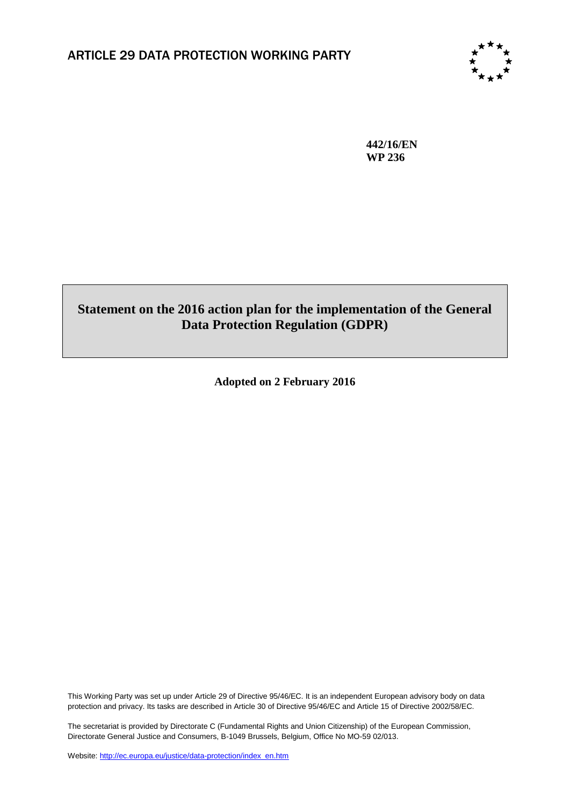

**442/16/EN WP 236**

# **Statement on the 2016 action plan for the implementation of the General Data Protection Regulation (GDPR)**

**Adopted on 2 February 2016**

This Working Party was set up under Article 29 of Directive 95/46/EC. It is an independent European advisory body on data protection and privacy. Its tasks are described in Article 30 of Directive 95/46/EC and Article 15 of Directive 2002/58/EC.

The secretariat is provided by Directorate C (Fundamental Rights and Union Citizenship) of the European Commission, Directorate General Justice and Consumers, B-1049 Brussels, Belgium, Office No MO-59 02/013.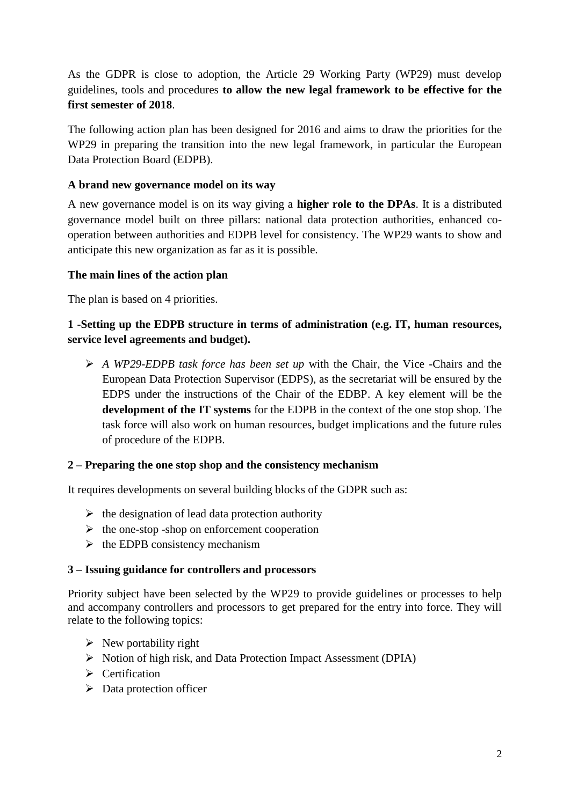As the GDPR is close to adoption, the Article 29 Working Party (WP29) must develop guidelines, tools and procedures **to allow the new legal framework to be effective for the first semester of 2018**.

The following action plan has been designed for 2016 and aims to draw the priorities for the WP29 in preparing the transition into the new legal framework, in particular the European Data Protection Board (EDPB).

## **A brand new governance model on its way**

A new governance model is on its way giving a **higher role to the DPAs**. It is a distributed governance model built on three pillars: national data protection authorities, enhanced cooperation between authorities and EDPB level for consistency. The WP29 wants to show and anticipate this new organization as far as it is possible.

### **The main lines of the action plan**

The plan is based on 4 priorities.

## **1 -Setting up the EDPB structure in terms of administration (e.g. IT, human resources, service level agreements and budget).**

 *A WP29-EDPB task force has been set up* with the Chair, the Vice -Chairs and the European Data Protection Supervisor (EDPS), as the secretariat will be ensured by the EDPS under the instructions of the Chair of the EDBP. A key element will be the **development of the IT systems** for the EDPB in the context of the one stop shop. The task force will also work on human resources, budget implications and the future rules of procedure of the EDPB.

### **2 – Preparing the one stop shop and the consistency mechanism**

It requires developments on several building blocks of the GDPR such as:

- $\triangleright$  the designation of lead data protection authority
- $\triangleright$  the one-stop -shop on enforcement cooperation
- $\triangleright$  the EDPB consistency mechanism

### **3 – Issuing guidance for controllers and processors**

Priority subject have been selected by the WP29 to provide guidelines or processes to help and accompany controllers and processors to get prepared for the entry into force. They will relate to the following topics:

- $\triangleright$  New portability right
- Notion of high risk, and Data Protection Impact Assessment (DPIA)
- > Certification
- $\triangleright$  Data protection officer